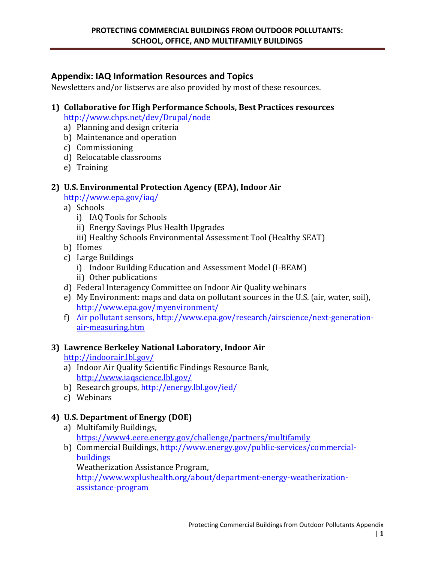# **Appendix: IAQ Information Resources and Topics**

Newsletters and/or listservs are also provided by most of these resources.

#### **1) Collaborative for High Performance Schools, Best Practices resources** <http://www.chps.net/dev/Drupal/node>

- a) Planning and design criteria
- b) Maintenance and operation
- c) Commissioning
- d) Relocatable classrooms
- e) Training

# **2) U.S. Environmental Protection Agency (EPA), Indoor Air**

- <http://www.epa.gov/iaq/>
- a) Schools
	- i) IAQ Tools for Schools
	- ii) Energy Savings Plus Health Upgrades
	- iii) Healthy Schools Environmental Assessment Tool (Healthy SEAT)
- b) Homes
- c) Large Buildings
	- i) Indoor Building Education and Assessment Model (I-BEAM)
	- ii) Other publications
- d) Federal Interagency Committee on Indoor Air Quality webinars
- e) My Environment: maps and data on pollutant sources in the U.S. (air, water, soil), <http://www.epa.gov/myenvironment/>
- f) Air pollutant sensors, [http://www.epa.gov/research/airscience/next-generation](http://www.epa.gov/research/airscience/next-generation-air-measuring.htm)[air-measuring.htm](http://www.epa.gov/research/airscience/next-generation-air-measuring.htm)

# **3) Lawrence Berkeley National Laboratory, Indoor Air**

<http://indoorair.lbl.gov/>

- a) Indoor Air Quality Scientific Findings Resource Bank, <http://www.iaqscience.lbl.gov/>
- b) Research groups,<http://energy.lbl.gov/ied/>
- c) Webinars

# **4) U.S. Department of Energy (DOE)**

- a) Multifamily Buildings, <https://www4.eere.energy.gov/challenge/partners/multifamily>
- b) Commercial Buildings[, http://www.energy.gov/public-services/commercial](http://www.energy.gov/public-services/commercial-buildings)[buildings](http://www.energy.gov/public-services/commercial-buildings) Weatherization Assistance Program, [http://www.wxplushealth.org/about/department-energy-weatherization](http://www.wxplushealth.org/about/department-energy-weatherization-assistance-program)[assistance-program](http://www.wxplushealth.org/about/department-energy-weatherization-assistance-program)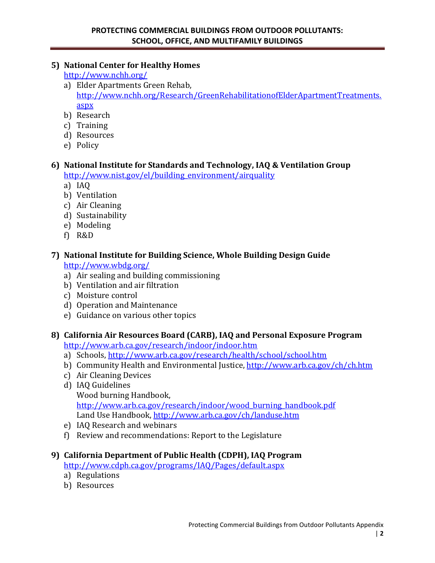# **5) National Center for Healthy Homes**

<http://www.nchh.org/>

- a) Elder Apartments Green Rehab, [http://www.nchh.org/Research/GreenRehabilitationofElderApartmentTreatments.](http://www.nchh.org/Research/GreenRehabilitationofElderApartmentTreatments.aspx) [aspx](http://www.nchh.org/Research/GreenRehabilitationofElderApartmentTreatments.aspx)
- b) Research
- c) Training
- d) Resources
- e) Policy

#### **6) National Institute for Standards and Technology, IAQ & Ventilation Group** [http://www.nist.gov/el/building\\_environment/airquality](http://www.nist.gov/el/building_environment/airquality)

- a) IAQ
- b) Ventilation
- c) Air Cleaning
- d) Sustainability
- e) Modeling
- f) R&D

# **7) National Institute for Building Science, Whole Building Design Guide**

<http://www.wbdg.org/>

- a) Air sealing and building commissioning
- b) Ventilation and air filtration
- c) Moisture control
- d) Operation and Maintenance
- e) Guidance on various other topics

# **8) California Air Resources Board (CARB), IAQ and Personal Exposure Program**

<http://www.arb.ca.gov/research/indoor/indoor.htm>

- a) Schools,<http://www.arb.ca.gov/research/health/school/school.htm>
- b) Community Health and Environmental Justice,<http://www.arb.ca.gov/ch/ch.htm>
- c) Air Cleaning Devices
- d) IAQ Guidelines Wood burning Handbook, [http://www.arb.ca.gov/research/indoor/wood\\_burning\\_handbook.pdf](http://www.arb.ca.gov/research/indoor/wood_burning_handbook.pdf) Land Use Handbook,<http://www.arb.ca.gov/ch/landuse.htm>
- e) IAQ Research and webinars
- f) Review and recommendations: Report to the Legislature

# **9) California Department of Public Health (CDPH), IAQ Program**

<http://www.cdph.ca.gov/programs/IAQ/Pages/default.aspx>

- a) Regulations
- b) Resources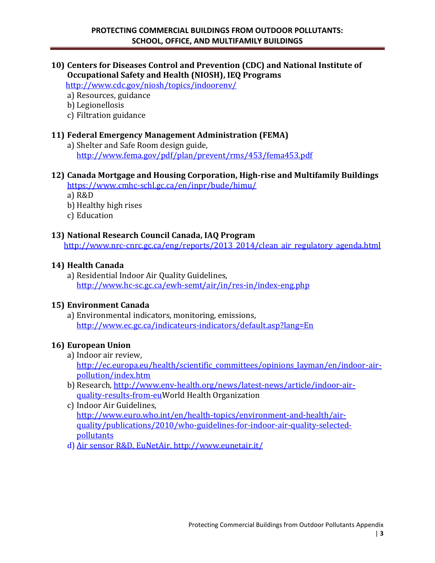# **10) Centers for Diseases Control and Prevention (CDC) and National Institute of Occupational Safety and Health (NIOSH), IEQ Programs**

<http://www.cdc.gov/niosh/topics/indoorenv/>

- a) Resources, guidance
- b) Legionellosis
- c) Filtration guidance

# **11) Federal Emergency Management Administration (FEMA)**

a) Shelter and Safe Room design guide, <http://www.fema.gov/pdf/plan/prevent/rms/453/fema453.pdf>

#### **12) Canada Mortgage and Housing Corporation, High-rise and Multifamily Buildings**

<https://www.cmhc-schl.gc.ca/en/inpr/bude/himu/>

a) R&D

- b) Healthy high rises
- c) Education

#### **13) National Research Council Canada, IAQ Program**

[http://www.nrc-cnrc.gc.ca/eng/reports/2013\\_2014/clean\\_air\\_regulatory\\_agenda.html](http://www.nrc-cnrc.gc.ca/eng/reports/2013_2014/clean_air_regulatory_agenda.html)

# **14) Health Canada**

a) Residential Indoor Air Quality Guidelines, <http://www.hc-sc.gc.ca/ewh-semt/air/in/res-in/index-eng.php>

#### **15) Environment Canada**

a) Environmental indicators, monitoring, emissions, <http://www.ec.gc.ca/indicateurs-indicators/default.asp?lang=En>

#### **16) European Union**

a) Indoor air review,

[http://ec.europa.eu/health/scientific\\_committees/opinions\\_layman/en/indoor-air](http://ec.europa.eu/health/scientific_committees/opinions_layman/en/indoor-air-pollution/index.htm)[pollution/index.htm](http://ec.europa.eu/health/scientific_committees/opinions_layman/en/indoor-air-pollution/index.htm)

- b) Research, [http://www.env-health.org/news/latest-news/article/indoor-air](http://www.env-health.org/news/latest-news/article/indoor-air-quality-results-from-eu)[quality-results-from-euW](http://www.env-health.org/news/latest-news/article/indoor-air-quality-results-from-eu)orld Health Organization
- c) Indoor Air Guidelines, [http://www.euro.who.int/en/health-topics/environment-and-health/air](http://www.euro.who.int/en/health-topics/environment-and-health/air-quality/publications/2010/who-guidelines-for-indoor-air-quality-selected-pollutants)[quality/publications/2010/who-guidelines-for-indoor-air-quality-selected](http://www.euro.who.int/en/health-topics/environment-and-health/air-quality/publications/2010/who-guidelines-for-indoor-air-quality-selected-pollutants)[pollutants](http://www.euro.who.int/en/health-topics/environment-and-health/air-quality/publications/2010/who-guidelines-for-indoor-air-quality-selected-pollutants)
- d) Air sensor R&D, EuNetAir,<http://www.eunetair.it/>